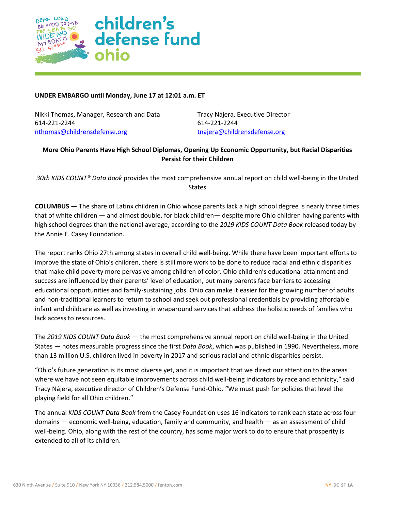

## **UNDER EMBARGO until Monday, June 17 at 12:01 a.m. ET**

Nikki Thomas, Manager, Research and Data Tracy Nájera, Executive Director 614-221-2244 614-221-2244 [nthomas@childrensdefense.org](mailto:nthomas@childrensdefense.org) that the [tnajera@childrensdefense.org](mailto:tnajera@childrensdefense.org)

# **More Ohio Parents Have High School Diplomas, Opening Up Economic Opportunity, but Racial Disparities Persist for their Children**

*30th KIDS COUNT® Data Book* provides the most comprehensive annual report on child well-being in the United States

**COLUMBUS** — The share of Latinx children in Ohio whose parents lack a high school degree is nearly three times that of white children — and almost double, for black children— despite more Ohio children having parents with high school degrees than the national average, according to the *2019 KIDS COUNT Data Book* released today by the Annie E. Casey Foundation.

The report ranks Ohio 27th among states in overall child well-being. While there have been important efforts to improve the state of Ohio's children, there is still more work to be done to reduce racial and ethnic disparities that make child poverty more pervasive among children of color. Ohio children's educational attainment and success are influenced by their parents' level of education, but many parents face barriers to accessing educational opportunities and family-sustaining jobs. Ohio can make it easier for the growing number of adults and non-traditional learners to return to school and seek out professional credentials by providing affordable infant and childcare as well as investing in wraparound services that address the holistic needs of families who lack access to resources.

The *2019 KIDS COUNT Data Book* — the most comprehensive annual report on child well-being in the United States — notes measurable progress since the first *Data Book*, which was published in 1990. Nevertheless, more than 13 million U.S. children lived in poverty in 2017 and serious racial and ethnic disparities persist.

"Ohio's future generation is its most diverse yet, and it is important that we direct our attention to the areas where we have not seen equitable improvements across child well-being indicators by race and ethnicity," said Tracy Nájera, executive director of Children's Defense Fund-Ohio. "We must push for policies that level the playing field for all Ohio children."

The annual *KIDS COUNT Data Book* from the Casey Foundation uses 16 indicators to rank each state across four domains — economic well-being, education, family and community, and health — as an assessment of child well-being. Ohio, along with the rest of the country, has some major work to do to ensure that prosperity is extended to all of its children.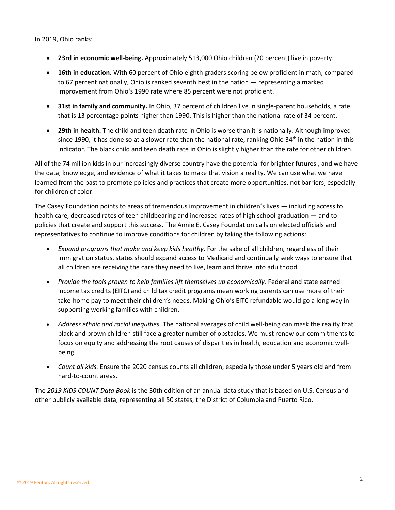In 2019, Ohio ranks:

- **23rd in economic well-being.** Approximately 513,000 Ohio children (20 percent) live in poverty.
- **16th in education.** With 60 percent of Ohio eighth graders scoring below proficient in math, compared to 67 percent nationally, Ohio is ranked seventh best in the nation — representing a marked improvement from Ohio's 1990 rate where 85 percent were not proficient.
- **31st in family and community.** In Ohio, 37 percent of children live in single-parent households, a rate that is 13 percentage points higher than 1990. This is higher than the national rate of 34 percent.
- **29th in health.** The child and teen death rate in Ohio is worse than it is nationally. Although improved since 1990, it has done so at a slower rate than the national rate, ranking Ohio 34<sup>th</sup> in the nation in this indicator. The black child and teen death rate in Ohio is slightly higher than the rate for other children.

All of the 74 million kids in our increasingly diverse country have the potential for brighter futures , and we have the data, knowledge, and evidence of what it takes to make that vision a reality. We can use what we have learned from the past to promote policies and practices that create more opportunities, not barriers, especially for children of color.

The Casey Foundation points to areas of tremendous improvement in children's lives — including access to health care, decreased rates of teen childbearing and increased rates of high school graduation — and to policies that create and support this success. The Annie E. Casey Foundation calls on elected officials and representatives to continue to improve conditions for children by taking the following actions:

- *Expand programs that make and keep kids healthy.* For the sake of all children, regardless of their immigration status, states should expand access to Medicaid and continually seek ways to ensure that all children are receiving the care they need to live, learn and thrive into adulthood.
- *Provide the tools proven to help families lift themselves up economically.* Federal and state earned income tax credits (EITC) and child tax credit programs mean working parents can use more of their take-home pay to meet their children's needs. Making Ohio's EITC refundable would go a long way in supporting working families with children.
- *Address ethnic and racial inequities.* The national averages of child well-being can mask the reality that black and brown children still face a greater number of obstacles. We must renew our commitments to focus on equity and addressing the root causes of disparities in health, education and economic wellbeing.
- *Count all kids.* Ensure the 2020 census counts all children, especially those under 5 years old and from hard-to-count areas.

The *2019 KIDS COUNT Data Book* is the 30th edition of an annual data study that is based on U.S. Census and other publicly available data, representing all 50 states, the District of Columbia and Puerto Rico.